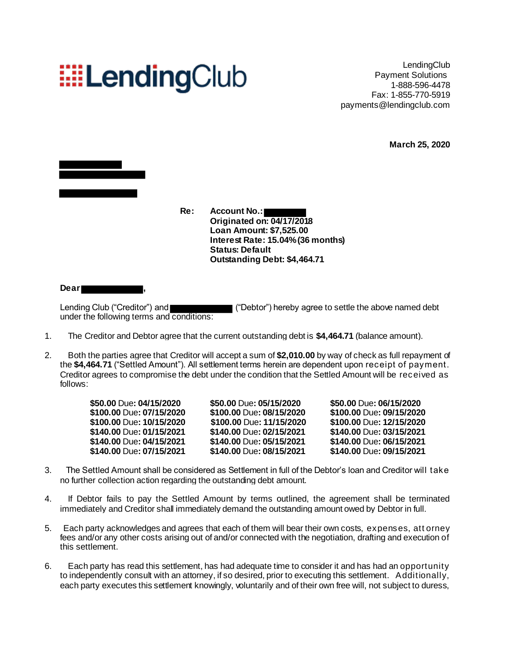## **EELendingClub**

LendingClub Payment Solutions 1-888-596-4478 Fax: 1-855-770-5919 payments@lendingclub.com

**March 25, 2020**



**Re: Account No.: Originated on: 04/17/2018 Loan Amount: \$7,525.00 Interest Rate: 15.04%(36 months) Status: Default Outstanding Debt: \$4,464.71**

**Dear ,**

Lending Club ("Creditor") and ("Debtor") hereby agree to settle the above named debt under the following terms and conditions:

- 1. The Creditor and Debtor agree that the current outstanding debt is **\$4,464.71** (balance amount).
- 2. Both the parties agree that Creditor will accept a sum of **\$2,010.00** by way of check as full repayment of the **\$4,464.71** ("Settled Amount"). All settlement terms herein are dependent upon receipt of payment. Creditor agrees to compromise the debt under the condition that the Settled Amount will be received as follows:

| \$50.00 Due: 04/15/2020  | \$50.00 Due: 05/15/2020  | \$50.00 Due: 06/15/2020  |
|--------------------------|--------------------------|--------------------------|
| \$100.00 Due: 07/15/2020 | \$100.00 Due: 08/15/2020 | \$100.00 Due: 09/15/2020 |
| \$100.00 Due: 10/15/2020 | \$100.00 Due: 11/15/2020 | \$100.00 Due: 12/15/2020 |
| \$140.00 Due: 01/15/2021 | \$140.00 Due: 02/15/2021 | \$140.00 Due: 03/15/2021 |
| \$140.00 Due: 04/15/2021 | \$140.00 Due: 05/15/2021 | \$140.00 Due: 06/15/2021 |
| \$140.00 Due: 07/15/2021 | \$140.00 Due: 08/15/2021 | \$140.00 Due: 09/15/2021 |

- 3. The Settled Amount shall be considered as Settlement in full of the Debtor's loan and Creditor will take no further collection action regarding the outstanding debt amount.
- 4. If Debtor fails to pay the Settled Amount by terms outlined, the agreement shall be terminated immediately and Creditor shall immediately demand the outstanding amount owed by Debtor in full.
- 5. Each party acknowledges and agrees that each of them will bear their own costs, expenses, att orney fees and/or any other costs arising out of and/or connected with the negotiation, drafting and execution of this settlement.
- 6. Each party has read this settlement, has had adequate time to consider it and has had an opportunity to independently consult with an attorney, if so desired, prior to executing this settlement. Additionally, each party executes this settlement knowingly, voluntarily and of their own free will, not subject to duress,